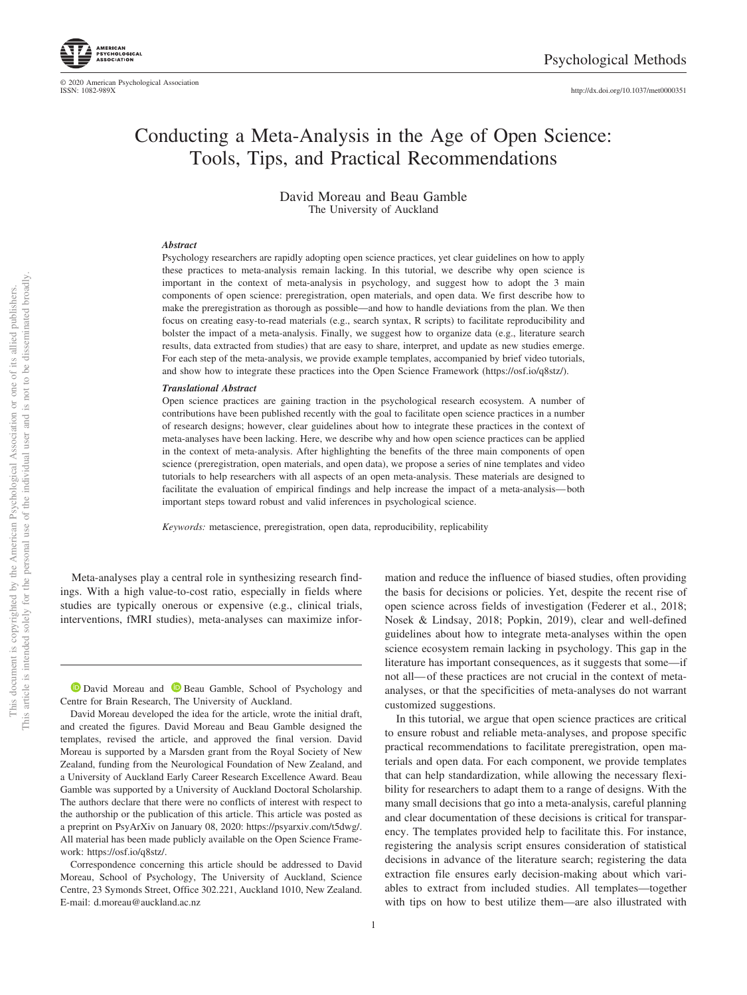

© 2020 American Psychological Association ISSN: 1082-989X

http://dx.doi.org[/10.1037/met0000351](http://dx.doi.org/10.1037/met0000351)

# Conducting a Meta-Analysis in the Age of Open Science: Tools, Tips, and Practical Recommendations

David Moreau and Beau Gamble The University of Auckland

#### *Abstract*

Psychology researchers are rapidly adopting open science practices, yet clear guidelines on how to apply these practices to meta-analysis remain lacking. In this tutorial, we describe why open science is important in the context of meta-analysis in psychology, and suggest how to adopt the 3 main components of open science: preregistration, open materials, and open data. We first describe how to make the preregistration as thorough as possible—and how to handle deviations from the plan. We then focus on creating easy-to-read materials (e.g., search syntax, R scripts) to facilitate reproducibility and bolster the impact of a meta-analysis. Finally, we suggest how to organize data (e.g., literature search results, data extracted from studies) that are easy to share, interpret, and update as new studies emerge. For each step of the meta-analysis, we provide example templates, accompanied by brief video tutorials, and show how to integrate these practices into the Open Science Framework [\(https://osf.io/q8stz/\)](https://osf.io/q8stz/).

#### *Translational Abstract*

Open science practices are gaining traction in the psychological research ecosystem. A number of contributions have been published recently with the goal to facilitate open science practices in a number of research designs; however, clear guidelines about how to integrate these practices in the context of meta-analyses have been lacking. Here, we describe why and how open science practices can be applied in the context of meta-analysis. After highlighting the benefits of the three main components of open science (preregistration, open materials, and open data), we propose a series of nine templates and video tutorials to help researchers with all aspects of an open meta-analysis. These materials are designed to facilitate the evaluation of empirical findings and help increase the impact of a meta-analysis— both important steps toward robust and valid inferences in psychological science.

*Keywords:* metascience, preregistration, open data, reproducibility, replicability

Meta-analyses play a central role in synthesizing research findings. With a high value-to-cost ratio, especially in fields where studies are typically onerous or expensive (e.g., clinical trials, interventions, fMRI studies), meta-analyses can maximize infor-

**D** [David Moreau](https://orcid.org/0000-0002-1957-1941) and **D** [Beau Gamble,](https://orcid.org/0000-0001-8284-9371) School of Psychology and Centre for Brain Research, The University of Auckland.

David Moreau developed the idea for the article, wrote the initial draft, and created the figures. David Moreau and Beau Gamble designed the templates, revised the article, and approved the final version. David Moreau is supported by a Marsden grant from the Royal Society of New Zealand, funding from the Neurological Foundation of New Zealand, and a University of Auckland Early Career Research Excellence Award. Beau Gamble was supported by a University of Auckland Doctoral Scholarship. The authors declare that there were no conflicts of interest with respect to the authorship or the publication of this article. This article was posted as a preprint on PsyArXiv on January 08, 2020: [https://psyarxiv.com/t5dwg/.](https://psyarxiv.com/t5dwg/) All material has been made publicly available on the Open Science Framework: [https://osf.io/q8stz/.](https://osf.io/q8stz/)

Correspondence concerning this article should be addressed to David Moreau, School of Psychology, The University of Auckland, Science Centre, 23 Symonds Street, Office 302.221, Auckland 1010, New Zealand. E-mail: [d.moreau@auckland.ac.nz](mailto:d.moreau@auckland.ac.nz)

mation and reduce the influence of biased studies, often providing the basis for decisions or policies. Yet, despite the recent rise of open science across fields of investigation (Federer et al., 2018; Nosek & Lindsay, 2018; Popkin, 2019), clear and well-defined guidelines about how to integrate meta-analyses within the open science ecosystem remain lacking in psychology. This gap in the literature has important consequences, as it suggests that some—if not all— of these practices are not crucial in the context of metaanalyses, or that the specificities of meta-analyses do not warrant customized suggestions.

In this tutorial, we argue that open science practices are critical to ensure robust and reliable meta-analyses, and propose specific practical recommendations to facilitate preregistration, open materials and open data. For each component, we provide templates that can help standardization, while allowing the necessary flexibility for researchers to adapt them to a range of designs. With the many small decisions that go into a meta-analysis, careful planning and clear documentation of these decisions is critical for transparency. The templates provided help to facilitate this. For instance, registering the analysis script ensures consideration of statistical decisions in advance of the literature search; registering the data extraction file ensures early decision-making about which variables to extract from included studies. All templates—together with tips on how to best utilize them—are also illustrated with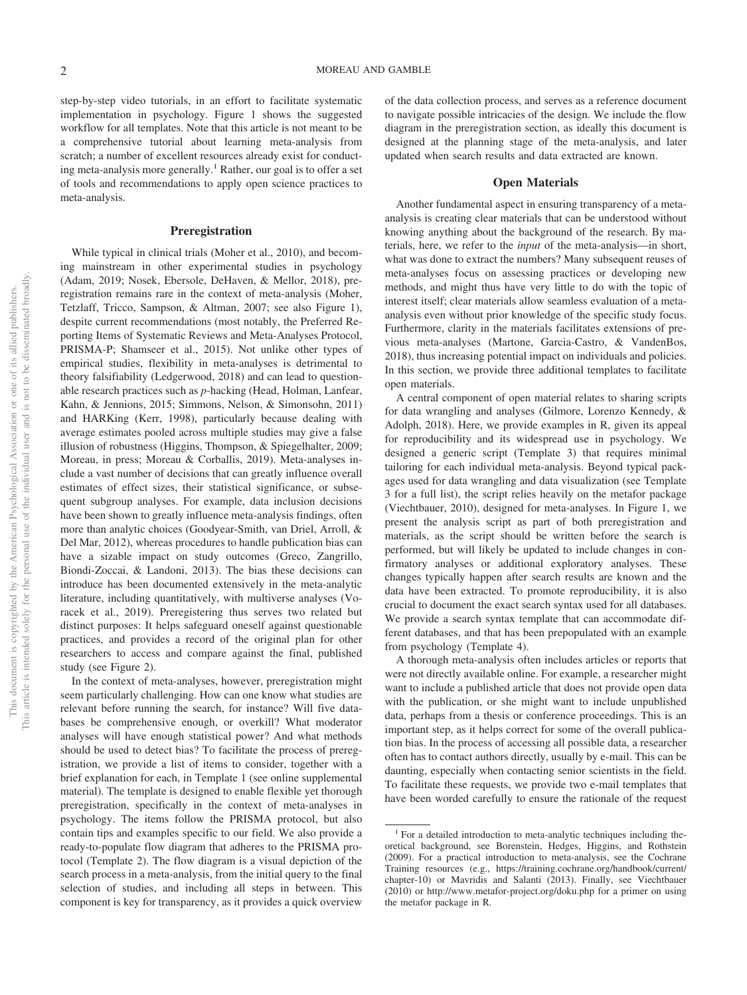step-by-step video tutorials, in an effort to facilitate systematic implementation in psychology. Figure 1 shows the suggested workflow for all templates. Note that this article is not meant to be a comprehensive tutorial about learning meta-analysis from scratch; a number of excellent resources already exist for conducting meta-analysis more generally.<sup>1</sup> Rather, our goal is to offer a set of tools and recommendations to apply open science practices to meta-analysis.

### **Preregistration**

While typical in clinical trials (Moher et al., 2010), and becoming mainstream in other experimental studies in psychology (Adam, 2019; Nosek, Ebersole, DeHaven, & Mellor, 2018), preregistration remains rare in the context of meta-analysis (Moher, Tetzlaff, Tricco, Sampson, & Altman, 2007; see also Figure 1), despite current recommendations (most notably, the Preferred Reporting Items of Systematic Reviews and Meta-Analyses Protocol, PRISMA-P; Shamseer et al., 2015). Not unlike other types of empirical studies, flexibility in meta-analyses is detrimental to theory falsifiability (Ledgerwood, 2018) and can lead to questionable research practices such as *p*-hacking (Head, Holman, Lanfear, Kahn, & Jennions, 2015; Simmons, Nelson, & Simonsohn, 2011) and HARKing (Kerr, 1998), particularly because dealing with average estimates pooled across multiple studies may give a false illusion of robustness (Higgins, Thompson, & Spiegelhalter, 2009; Moreau, in press; Moreau & Corballis, 2019). Meta-analyses include a vast number of decisions that can greatly influence overall estimates of effect sizes, their statistical significance, or subsequent subgroup analyses. For example, data inclusion decisions have been shown to greatly influence meta-analysis findings, often more than analytic choices (Goodyear-Smith, van Driel, Arroll, & Del Mar, 2012), whereas procedures to handle publication bias can have a sizable impact on study outcomes (Greco, Zangrillo, Biondi-Zoccai, & Landoni, 2013). The bias these decisions can introduce has been documented extensively in the meta-analytic literature, including quantitatively, with multiverse analyses (Voracek et al., 2019). Preregistering thus serves two related but distinct purposes: It helps safeguard oneself against questionable practices, and provides a record of the original plan for other researchers to access and compare against the final, published study (see Figure 2).

In the context of meta-analyses, however, preregistration might seem particularly challenging. How can one know what studies are relevant before running the search, for instance? Will five databases be comprehensive enough, or overkill? What moderator analyses will have enough statistical power? And what methods should be used to detect bias? To facilitate the process of preregistration, we provide a list of items to consider, together with a brief explanation for each, in Template 1 (see online supplemental material). The template is designed to enable flexible yet thorough preregistration, specifically in the context of meta-analyses in psychology. The items follow the PRISMA protocol, but also contain tips and examples specific to our field. We also provide a ready-to-populate flow diagram that adheres to the PRISMA protocol (Template 2). The flow diagram is a visual depiction of the search process in a meta-analysis, from the initial query to the final selection of studies, and including all steps in between. This component is key for transparency, as it provides a quick overview of the data collection process, and serves as a reference document to navigate possible intricacies of the design. We include the flow diagram in the preregistration section, as ideally this document is designed at the planning stage of the meta-analysis, and later updated when search results and data extracted are known.

### **Open Materials**

Another fundamental aspect in ensuring transparency of a metaanalysis is creating clear materials that can be understood without knowing anything about the background of the research. By materials, here, we refer to the *input* of the meta-analysis—in short, what was done to extract the numbers? Many subsequent reuses of meta-analyses focus on assessing practices or developing new methods, and might thus have very little to do with the topic of interest itself; clear materials allow seamless evaluation of a metaanalysis even without prior knowledge of the specific study focus. Furthermore, clarity in the materials facilitates extensions of previous meta-analyses (Martone, Garcia-Castro, & VandenBos, 2018), thus increasing potential impact on individuals and policies. In this section, we provide three additional templates to facilitate open materials.

A central component of open material relates to sharing scripts for data wrangling and analyses (Gilmore, Lorenzo Kennedy, & Adolph, 2018). Here, we provide examples in R, given its appeal for reproducibility and its widespread use in psychology. We designed a generic script (Template 3) that requires minimal tailoring for each individual meta-analysis. Beyond typical packages used for data wrangling and data visualization (see Template 3 for a full list), the script relies heavily on the metafor package [\(Viechtbauer, 2010\)](#page-6-0), designed for meta-analyses. In Figure 1, we present the analysis script as part of both preregistration and materials, as the script should be written before the search is performed, but will likely be updated to include changes in confirmatory analyses or additional exploratory analyses. These changes typically happen after search results are known and the data have been extracted. To promote reproducibility, it is also crucial to document the exact search syntax used for all databases. We provide a search syntax template that can accommodate different databases, and that has been prepopulated with an example from psychology (Template 4).

A thorough meta-analysis often includes articles or reports that were not directly available online. For example, a researcher might want to include a published article that does not provide open data with the publication, or she might want to include unpublished data, perhaps from a thesis or conference proceedings. This is an important step, as it helps correct for some of the overall publication bias. In the process of accessing all possible data, a researcher often has to contact authors directly, usually by e-mail. This can be daunting, especially when contacting senior scientists in the field. To facilitate these requests, we provide two e-mail templates that have been worded carefully to ensure the rationale of the request

<sup>&</sup>lt;sup>1</sup> For a detailed introduction to meta-analytic techniques including theoretical background, see [Borenstein, Hedges, Higgins, and Rothstein](#page-5-0) [\(2009\).](#page-5-0) For a practical introduction to meta-analysis, see the Cochrane Training resources (e.g., [https://training.cochrane.org/handbook/current/](https://training.cochrane.org/handbook/current/chapter-10) [chapter-10\)](https://training.cochrane.org/handbook/current/chapter-10) or Mavridis and Salanti (2013). Finally, see [Viechtbauer](#page-6-0) [\(2010\)](#page-6-0) or<http://www.metafor-project.org/doku.php> for a primer on using the metafor package in R.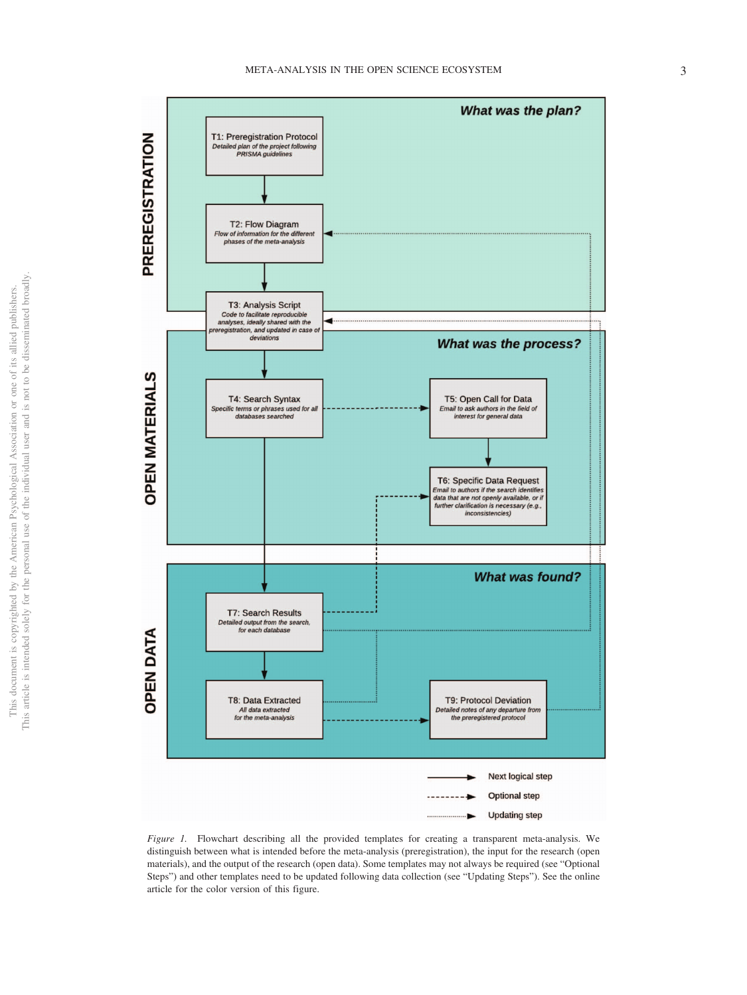

*Figure 1.* Flowchart describing all the provided templates for creating a transparent meta-analysis. We distinguish between what is intended before the meta-analysis (preregistration), the input for the research (open materials), and the output of the research (open data). Some templates may not always be required (see "Optional Steps") and other templates need to be updated following data collection (see "Updating Steps"). See the online article for the color version of this figure.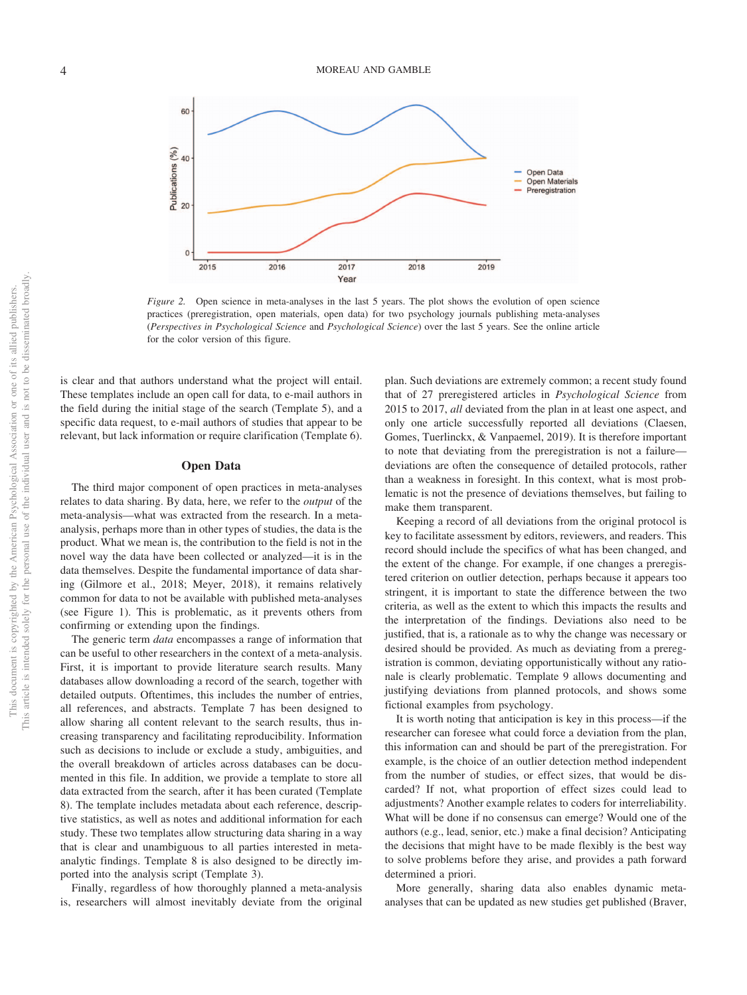

*Figure 2.* Open science in meta-analyses in the last 5 years. The plot shows the evolution of open science practices (preregistration, open materials, open data) for two psychology journals publishing meta-analyses (*Perspectives in Psychological Science* and *Psychological Science*) over the last 5 years. See the online article for the color version of this figure.

is clear and that authors understand what the project will entail. These templates include an open call for data, to e-mail authors in the field during the initial stage of the search (Template 5), and a specific data request, to e-mail authors of studies that appear to be relevant, but lack information or require clarification (Template 6).

#### **Open Data**

The third major component of open practices in meta-analyses relates to data sharing. By data, here, we refer to the *output* of the meta-analysis—what was extracted from the research. In a metaanalysis, perhaps more than in other types of studies, the data is the product. What we mean is, the contribution to the field is not in the novel way the data have been collected or analyzed—it is in the data themselves. Despite the fundamental importance of data sharing (Gilmore et al., 2018; Meyer, 2018), it remains relatively common for data to not be available with published meta-analyses (see Figure 1). This is problematic, as it prevents others from confirming or extending upon the findings.

The generic term *data* encompasses a range of information that can be useful to other researchers in the context of a meta-analysis. First, it is important to provide literature search results. Many databases allow downloading a record of the search, together with detailed outputs. Oftentimes, this includes the number of entries, all references, and abstracts. Template 7 has been designed to allow sharing all content relevant to the search results, thus increasing transparency and facilitating reproducibility. Information such as decisions to include or exclude a study, ambiguities, and the overall breakdown of articles across databases can be documented in this file. In addition, we provide a template to store all data extracted from the search, after it has been curated (Template 8). The template includes metadata about each reference, descriptive statistics, as well as notes and additional information for each study. These two templates allow structuring data sharing in a way that is clear and unambiguous to all parties interested in metaanalytic findings. Template 8 is also designed to be directly imported into the analysis script (Template 3).

Finally, regardless of how thoroughly planned a meta-analysis is, researchers will almost inevitably deviate from the original plan. Such deviations are extremely common; a recent study found that of 27 preregistered articles in *Psychological Science* from 2015 to 2017, *all* deviated from the plan in at least one aspect, and only one article successfully reported all deviations (Claesen, Gomes, Tuerlinckx, & Vanpaemel, 2019). It is therefore important to note that deviating from the preregistration is not a failure deviations are often the consequence of detailed protocols, rather than a weakness in foresight. In this context, what is most problematic is not the presence of deviations themselves, but failing to make them transparent.

Keeping a record of all deviations from the original protocol is key to facilitate assessment by editors, reviewers, and readers. This record should include the specifics of what has been changed, and the extent of the change. For example, if one changes a preregistered criterion on outlier detection, perhaps because it appears too stringent, it is important to state the difference between the two criteria, as well as the extent to which this impacts the results and the interpretation of the findings. Deviations also need to be justified, that is, a rationale as to why the change was necessary or desired should be provided. As much as deviating from a preregistration is common, deviating opportunistically without any rationale is clearly problematic. Template 9 allows documenting and justifying deviations from planned protocols, and shows some fictional examples from psychology.

It is worth noting that anticipation is key in this process—if the researcher can foresee what could force a deviation from the plan, this information can and should be part of the preregistration. For example, is the choice of an outlier detection method independent from the number of studies, or effect sizes, that would be discarded? If not, what proportion of effect sizes could lead to adjustments? Another example relates to coders for interreliability. What will be done if no consensus can emerge? Would one of the authors (e.g., lead, senior, etc.) make a final decision? Anticipating the decisions that might have to be made flexibly is the best way to solve problems before they arise, and provides a path forward determined a priori.

More generally, sharing data also enables dynamic metaanalyses that can be updated as new studies get published (Braver,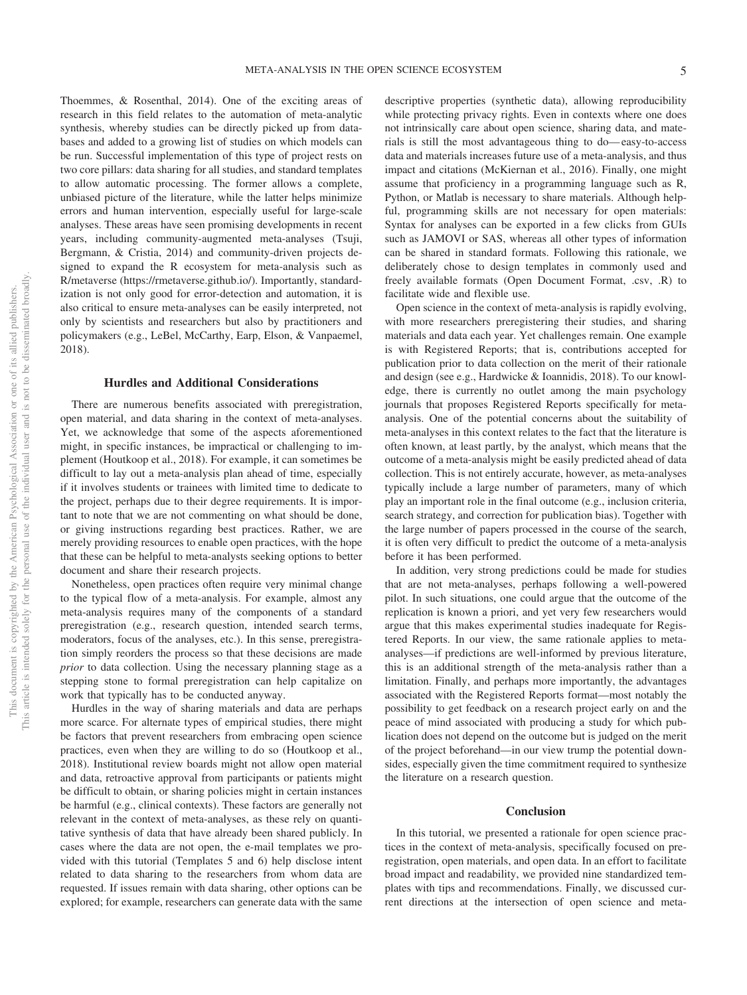Thoemmes, & Rosenthal, 2014). One of the exciting areas of research in this field relates to the automation of meta-analytic synthesis, whereby studies can be directly picked up from databases and added to a growing list of studies on which models can be run. Successful implementation of this type of project rests on two core pillars: data sharing for all studies, and standard templates to allow automatic processing. The former allows a complete, unbiased picture of the literature, while the latter helps minimize errors and human intervention, especially useful for large-scale analyses. These areas have seen promising developments in recent years, including community-augmented meta-analyses (Tsuji, Bergmann, & Cristia, 2014) and community-driven projects designed to expand the R ecosystem for meta-analysis such as R/metaverse [\(https://rmetaverse.github.io/\)](https://rmetaverse.github.io/). Importantly, standardization is not only good for error-detection and automation, it is also critical to ensure meta-analyses can be easily interpreted, not only by scientists and researchers but also by practitioners and policymakers (e.g., LeBel, McCarthy, Earp, Elson, & Vanpaemel, 2018).

## **Hurdles and Additional Considerations**

There are numerous benefits associated with preregistration, open material, and data sharing in the context of meta-analyses. Yet, we acknowledge that some of the aspects aforementioned might, in specific instances, be impractical or challenging to implement (Houtkoop et al., 2018). For example, it can sometimes be difficult to lay out a meta-analysis plan ahead of time, especially if it involves students or trainees with limited time to dedicate to the project, perhaps due to their degree requirements. It is important to note that we are not commenting on what should be done, or giving instructions regarding best practices. Rather, we are merely providing resources to enable open practices, with the hope that these can be helpful to meta-analysts seeking options to better document and share their research projects.

Nonetheless, open practices often require very minimal change to the typical flow of a meta-analysis. For example, almost any meta-analysis requires many of the components of a standard preregistration (e.g., research question, intended search terms, moderators, focus of the analyses, etc.). In this sense, preregistration simply reorders the process so that these decisions are made *prior* to data collection. Using the necessary planning stage as a stepping stone to formal preregistration can help capitalize on work that typically has to be conducted anyway.

Hurdles in the way of sharing materials and data are perhaps more scarce. For alternate types of empirical studies, there might be factors that prevent researchers from embracing open science practices, even when they are willing to do so (Houtkoop et al., 2018). Institutional review boards might not allow open material and data, retroactive approval from participants or patients might be difficult to obtain, or sharing policies might in certain instances be harmful (e.g., clinical contexts). These factors are generally not relevant in the context of meta-analyses, as these rely on quantitative synthesis of data that have already been shared publicly. In cases where the data are not open, the e-mail templates we provided with this tutorial (Templates 5 and 6) help disclose intent related to data sharing to the researchers from whom data are requested. If issues remain with data sharing, other options can be explored; for example, researchers can generate data with the same

descriptive properties (synthetic data), allowing reproducibility while protecting privacy rights. Even in contexts where one does not intrinsically care about open science, sharing data, and materials is still the most advantageous thing to do— easy-to-access data and materials increases future use of a meta-analysis, and thus impact and citations (McKiernan et al., 2016). Finally, one might assume that proficiency in a programming language such as R, Python, or Matlab is necessary to share materials. Although helpful, programming skills are not necessary for open materials: Syntax for analyses can be exported in a few clicks from GUIs such as JAMOVI or SAS, whereas all other types of information can be shared in standard formats. Following this rationale, we deliberately chose to design templates in commonly used and freely available formats (Open Document Format, .csv, .R) to facilitate wide and flexible use.

Open science in the context of meta-analysis is rapidly evolving, with more researchers preregistering their studies, and sharing materials and data each year. Yet challenges remain. One example is with Registered Reports; that is, contributions accepted for publication prior to data collection on the merit of their rationale and design (see e.g., Hardwicke & Ioannidis, 2018). To our knowledge, there is currently no outlet among the main psychology journals that proposes Registered Reports specifically for metaanalysis. One of the potential concerns about the suitability of meta-analyses in this context relates to the fact that the literature is often known, at least partly, by the analyst, which means that the outcome of a meta-analysis might be easily predicted ahead of data collection. This is not entirely accurate, however, as meta-analyses typically include a large number of parameters, many of which play an important role in the final outcome (e.g., inclusion criteria, search strategy, and correction for publication bias). Together with the large number of papers processed in the course of the search, it is often very difficult to predict the outcome of a meta-analysis before it has been performed.

In addition, very strong predictions could be made for studies that are not meta-analyses, perhaps following a well-powered pilot. In such situations, one could argue that the outcome of the replication is known a priori, and yet very few researchers would argue that this makes experimental studies inadequate for Registered Reports. In our view, the same rationale applies to metaanalyses—if predictions are well-informed by previous literature, this is an additional strength of the meta-analysis rather than a limitation. Finally, and perhaps more importantly, the advantages associated with the Registered Reports format—most notably the possibility to get feedback on a research project early on and the peace of mind associated with producing a study for which publication does not depend on the outcome but is judged on the merit of the project beforehand—in our view trump the potential downsides, especially given the time commitment required to synthesize the literature on a research question.

#### **Conclusion**

In this tutorial, we presented a rationale for open science practices in the context of meta-analysis, specifically focused on preregistration, open materials, and open data. In an effort to facilitate broad impact and readability, we provided nine standardized templates with tips and recommendations. Finally, we discussed current directions at the intersection of open science and meta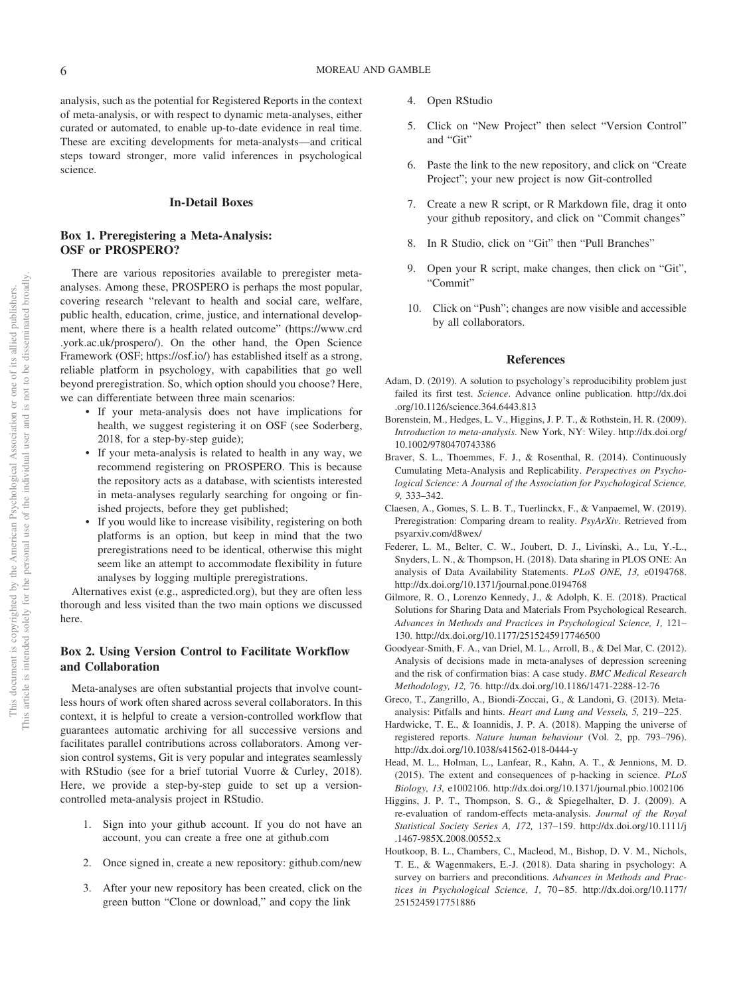analysis, such as the potential for Registered Reports in the context of meta-analysis, or with respect to dynamic meta-analyses, either curated or automated, to enable up-to-date evidence in real time. These are exciting developments for meta-analysts—and critical steps toward stronger, more valid inferences in psychological science.

## **In-Detail Boxes**

## **Box 1. Preregistering a Meta-Analysis: OSF or PROSPERO?**

There are various repositories available to preregister metaanalyses. Among these, PROSPERO is perhaps the most popular, covering research "relevant to health and social care, welfare, public health, education, crime, justice, and international development, where there is a health related outcome" [\(https://www.crd](https://www.crd.york.ac.uk/prospero/) [.york.ac.uk/prospero/\)](https://www.crd.york.ac.uk/prospero/). On the other hand, the Open Science Framework (OSF; [https://osf.io/\)](https://osf.io/) has established itself as a strong, reliable platform in psychology, with capabilities that go well beyond preregistration. So, which option should you choose? Here, we can differentiate between three main scenarios:

- If your meta-analysis does not have implications for health, we suggest registering it on OSF (see Soderberg, 2018, for a step-by-step guide);
- If your meta-analysis is related to health in any way, we recommend registering on PROSPERO. This is because the repository acts as a database, with scientists interested in meta-analyses regularly searching for ongoing or finished projects, before they get published;
- If you would like to increase visibility, registering on both platforms is an option, but keep in mind that the two preregistrations need to be identical, otherwise this might seem like an attempt to accommodate flexibility in future analyses by logging multiple preregistrations.

Alternatives exist (e.g., aspredicted.org), but they are often less thorough and less visited than the two main options we discussed here.

# **Box 2. Using Version Control to Facilitate Workflow and Collaboration**

Meta-analyses are often substantial projects that involve countless hours of work often shared across several collaborators. In this context, it is helpful to create a version-controlled workflow that guarantees automatic archiving for all successive versions and facilitates parallel contributions across collaborators. Among version control systems, Git is very popular and integrates seamlessly with RStudio (see for a brief tutorial [Vuorre & Curley, 2018\)](#page-6-1). Here, we provide a step-by-step guide to set up a versioncontrolled meta-analysis project in RStudio.

- 1. Sign into your github account. If you do not have an account, you can create a free one at github.com
- 2. Once signed in, create a new repository: github.com/new
- 3. After your new repository has been created, click on the green button "Clone or download," and copy the link
- 4. Open RStudio
- 5. Click on "New Project" then select "Version Control" and "Git"
- 6. Paste the link to the new repository, and click on "Create Project"; your new project is now Git-controlled
- 7. Create a new R script, or R Markdown file, drag it onto your github repository, and click on "Commit changes"
- 8. In R Studio, click on "Git" then "Pull Branches"
- Open your R script, make changes, then click on "Git", "Commit"
- 10. Click on "Push"; changes are now visible and accessible by all collaborators.

## **References**

- Adam, D. (2019). A solution to psychology's reproducibility problem just failed its first test. *Science*. Advance online publication. [http://dx.doi](http://dx.doi.org/10.1126/science.364.6443.813) [.org/10.1126/science.364.6443.813](http://dx.doi.org/10.1126/science.364.6443.813)
- <span id="page-5-0"></span>Borenstein, M., Hedges, L. V., Higgins, J. P. T., & Rothstein, H. R. (2009). *Introduction to meta-analysis*. New York, NY: Wiley. [http://dx.doi.org/](http://dx.doi.org/10.1002/9780470743386) [10.1002/9780470743386](http://dx.doi.org/10.1002/9780470743386)
- Braver, S. L., Thoemmes, F. J., & Rosenthal, R. (2014). Continuously Cumulating Meta-Analysis and Replicability. *Perspectives on Psychological Science: A Journal of the Association for Psychological Science, 9,* 333–342.
- Claesen, A., Gomes, S. L. B. T., Tuerlinckx, F., & Vanpaemel, W. (2019). Preregistration: Comparing dream to reality. *PsyArXiv*. Retrieved from [psyarxiv.com/d8wex/](http://psyarxiv.com/d8wex/)
- Federer, L. M., Belter, C. W., Joubert, D. J., Livinski, A., Lu, Y.-L., Snyders, L. N., & Thompson, H. (2018). Data sharing in PLOS ONE: An analysis of Data Availability Statements. *PLoS ONE, 13,* e0194768. <http://dx.doi.org/10.1371/journal.pone.0194768>
- Gilmore, R. O., Lorenzo Kennedy, J., & Adolph, K. E. (2018). Practical Solutions for Sharing Data and Materials From Psychological Research. *Advances in Methods and Practices in Psychological Science, 1,* 121– 130.<http://dx.doi.org/10.1177/2515245917746500>
- Goodyear-Smith, F. A., van Driel, M. L., Arroll, B., & Del Mar, C. (2012). Analysis of decisions made in meta-analyses of depression screening and the risk of confirmation bias: A case study. *BMC Medical Research Methodology, 12,* 76.<http://dx.doi.org/10.1186/1471-2288-12-76>
- Greco, T., Zangrillo, A., Biondi-Zoccai, G., & Landoni, G. (2013). Metaanalysis: Pitfalls and hints. *Heart and Lung and Vessels, 5,* 219 –225.
- Hardwicke, T. E., & Ioannidis, J. P. A. (2018). Mapping the universe of registered reports. *Nature human behaviour* (Vol. 2, pp. 793–796). <http://dx.doi.org/10.1038/s41562-018-0444-y>
- Head, M. L., Holman, L., Lanfear, R., Kahn, A. T., & Jennions, M. D. (2015). The extent and consequences of p-hacking in science. *PLoS Biology, 13,* e1002106.<http://dx.doi.org/10.1371/journal.pbio.1002106>
- Higgins, J. P. T., Thompson, S. G., & Spiegelhalter, D. J. (2009). A re-evaluation of random-effects meta-analysis. *Journal of the Royal Statistical Society Series A, 172,* 137–159. [http://dx.doi.org/10.1111/j](http://dx.doi.org/10.1111/j.1467-985X.2008.00552.x) [.1467-985X.2008.00552.x](http://dx.doi.org/10.1111/j.1467-985X.2008.00552.x)
- Houtkoop, B. L., Chambers, C., Macleod, M., Bishop, D. V. M., Nichols, T. E., & Wagenmakers, E.-J. (2018). Data sharing in psychology: A survey on barriers and preconditions. *Advances in Methods and Practices in Psychological Science, 1,* 70 – 85. [http://dx.doi.org/10.1177/](http://dx.doi.org/10.1177/2515245917751886) [2515245917751886](http://dx.doi.org/10.1177/2515245917751886)